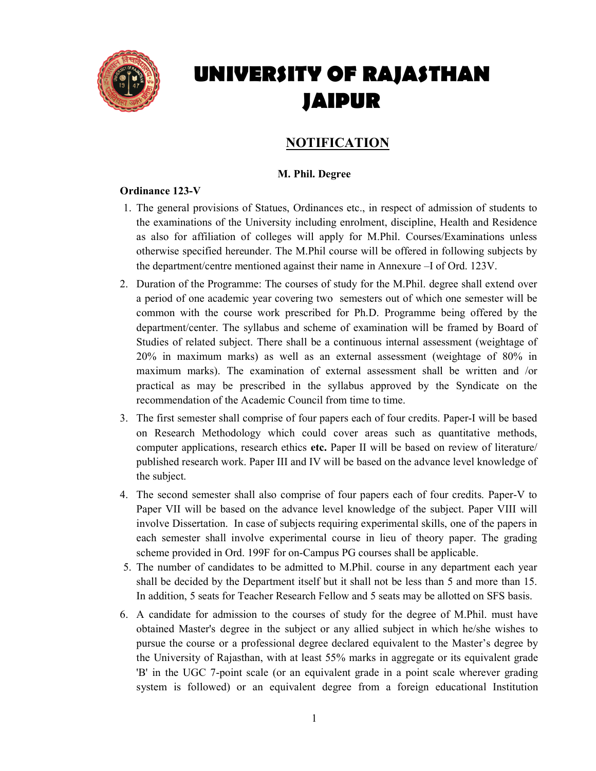

# UNIVERSITY OF RAJASTHAN JAIPUR

# **NOTIFICATION**

# M. Phil. Degree

# Ordinance 123-V

- 1. The general provisions of Statues, Ordinances etc., in respect of admission of students to the examinations of the University including enrolment, discipline, Health and Residence as also for affiliation of colleges will apply for M.Phil. Courses/Examinations unless otherwise specified hereunder. The M.Phil course will be offered in following subjects by the department/centre mentioned against their name in Annexure –I of Ord. 123V.
- 2. Duration of the Programme: The courses of study for the M.Phil. degree shall extend over a period of one academic year covering two semesters out of which one semester will be common with the course work prescribed for Ph.D. Programme being offered by the department/center. The syllabus and scheme of examination will be framed by Board of Studies of related subject. There shall be a continuous internal assessment (weightage of 20% in maximum marks) as well as an external assessment (weightage of 80% in maximum marks). The examination of external assessment shall be written and /or practical as may be prescribed in the syllabus approved by the Syndicate on the recommendation of the Academic Council from time to time.
- 3. The first semester shall comprise of four papers each of four credits. Paper-I will be based on Research Methodology which could cover areas such as quantitative methods, computer applications, research ethics etc. Paper II will be based on review of literature/ published research work. Paper III and IV will be based on the advance level knowledge of the subject.
- 4. The second semester shall also comprise of four papers each of four credits. Paper-V to Paper VII will be based on the advance level knowledge of the subject. Paper VIII will involve Dissertation. In case of subjects requiring experimental skills, one of the papers in each semester shall involve experimental course in lieu of theory paper. The grading scheme provided in Ord. 199F for on-Campus PG courses shall be applicable.
- 5. The number of candidates to be admitted to M.Phil. course in any department each year shall be decided by the Department itself but it shall not be less than 5 and more than 15. In addition, 5 seats for Teacher Research Fellow and 5 seats may be allotted on SFS basis.
- 6. A candidate for admission to the courses of study for the degree of M.Phil. must have obtained Master's degree in the subject or any allied subject in which he/she wishes to pursue the course or a professional degree declared equivalent to the Master's degree by the University of Rajasthan, with at least 55% marks in aggregate or its equivalent grade 'B' in the UGC 7-point scale (or an equivalent grade in a point scale wherever grading system is followed) or an equivalent degree from a foreign educational Institution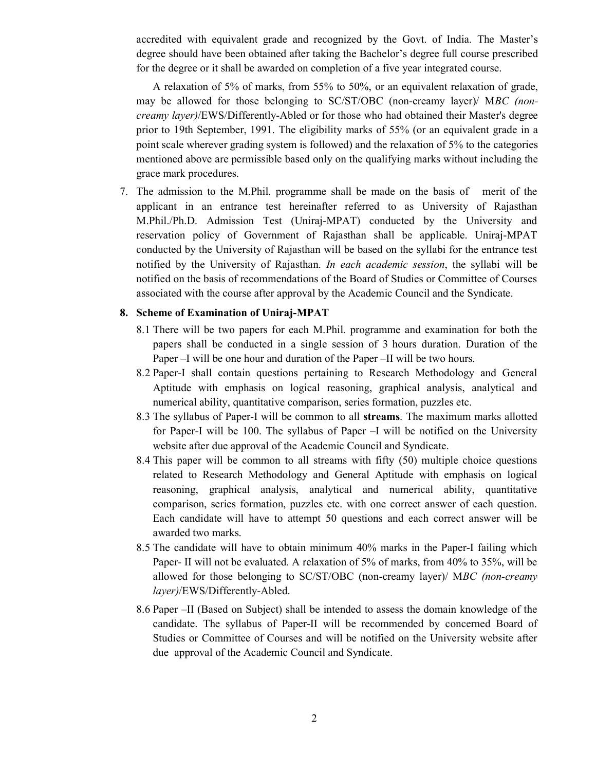accredited with equivalent grade and recognized by the Govt. of India. The Master's degree should have been obtained after taking the Bachelor's degree full course prescribed for the degree or it shall be awarded on completion of a five year integrated course.

 A relaxation of 5% of marks, from 55% to 50%, or an equivalent relaxation of grade, may be allowed for those belonging to SC/ST/OBC (non-creamy layer)/ MBC (noncreamy layer)/EWS/Differently-Abled or for those who had obtained their Master's degree prior to 19th September, 1991. The eligibility marks of 55% (or an equivalent grade in a point scale wherever grading system is followed) and the relaxation of 5% to the categories mentioned above are permissible based only on the qualifying marks without including the grace mark procedures.

7. The admission to the M.Phil. programme shall be made on the basis of merit of the applicant in an entrance test hereinafter referred to as University of Rajasthan M.Phil./Ph.D. Admission Test (Uniraj-MPAT) conducted by the University and reservation policy of Government of Rajasthan shall be applicable. Uniraj-MPAT conducted by the University of Rajasthan will be based on the syllabi for the entrance test notified by the University of Rajasthan. In each academic session, the syllabi will be notified on the basis of recommendations of the Board of Studies or Committee of Courses associated with the course after approval by the Academic Council and the Syndicate.

#### 8. Scheme of Examination of Uniraj-MPAT

- 8.1 There will be two papers for each M.Phil. programme and examination for both the papers shall be conducted in a single session of 3 hours duration. Duration of the Paper –I will be one hour and duration of the Paper –II will be two hours.
- 8.2 Paper-I shall contain questions pertaining to Research Methodology and General Aptitude with emphasis on logical reasoning, graphical analysis, analytical and numerical ability, quantitative comparison, series formation, puzzles etc.
- 8.3 The syllabus of Paper-I will be common to all streams. The maximum marks allotted for Paper-I will be 100. The syllabus of Paper –I will be notified on the University website after due approval of the Academic Council and Syndicate.
- 8.4 This paper will be common to all streams with fifty (50) multiple choice questions related to Research Methodology and General Aptitude with emphasis on logical reasoning, graphical analysis, analytical and numerical ability, quantitative comparison, series formation, puzzles etc. with one correct answer of each question. Each candidate will have to attempt 50 questions and each correct answer will be awarded two marks.
- 8.5 The candidate will have to obtain minimum 40% marks in the Paper-I failing which Paper- II will not be evaluated. A relaxation of 5% of marks, from 40% to 35%, will be allowed for those belonging to SC/ST/OBC (non-creamy layer)/ MBC (non-creamy layer)/EWS/Differently-Abled.
- 8.6 Paper –II (Based on Subject) shall be intended to assess the domain knowledge of the candidate. The syllabus of Paper-II will be recommended by concerned Board of Studies or Committee of Courses and will be notified on the University website after due approval of the Academic Council and Syndicate.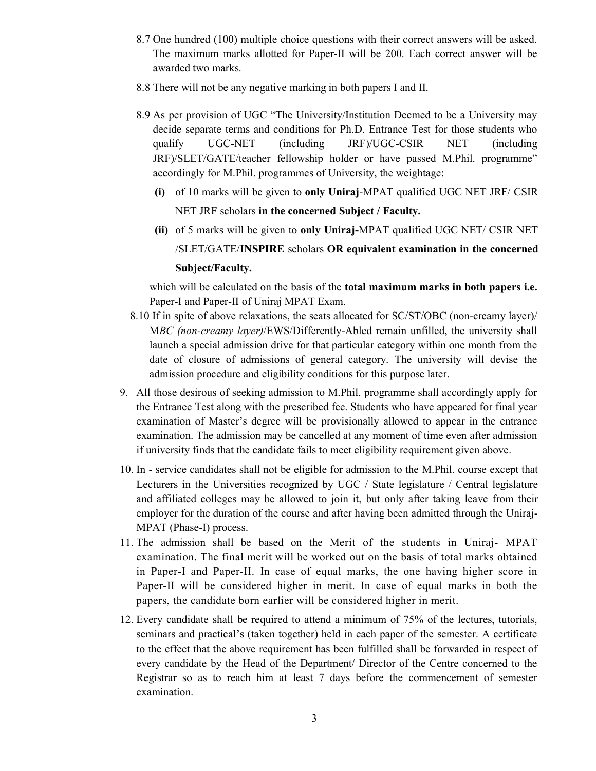- 8.7 One hundred (100) multiple choice questions with their correct answers will be asked. The maximum marks allotted for Paper-II will be 200. Each correct answer will be awarded two marks.
- 8.8 There will not be any negative marking in both papers I and II.
- 8.9 As per provision of UGC "The University/Institution Deemed to be a University may decide separate terms and conditions for Ph.D. Entrance Test for those students who qualify UGC-NET (including JRF)/UGC-CSIR NET (including JRF)/SLET/GATE/teacher fellowship holder or have passed M.Phil. programme" accordingly for M.Phil. programmes of University, the weightage:
	- (i) of 10 marks will be given to only Uniraj-MPAT qualified UGC NET JRF/ CSIR NET JRF scholars in the concerned Subject / Faculty.
	- (ii) of 5 marks will be given to only Uniraj-MPAT qualified UGC NET/ CSIR NET /SLET/GATE/INSPIRE scholars OR equivalent examination in the concerned Subject/Faculty.

which will be calculated on the basis of the **total maximum marks in both papers i.e.** Paper-I and Paper-II of Uniraj MPAT Exam.

- 8.10 If in spite of above relaxations, the seats allocated for SC/ST/OBC (non-creamy layer)/ MBC (non-creamy layer)/EWS/Differently-Abled remain unfilled, the university shall launch a special admission drive for that particular category within one month from the date of closure of admissions of general category. The university will devise the admission procedure and eligibility conditions for this purpose later.
- 9. All those desirous of seeking admission to M.Phil. programme shall accordingly apply for the Entrance Test along with the prescribed fee. Students who have appeared for final year examination of Master's degree will be provisionally allowed to appear in the entrance examination. The admission may be cancelled at any moment of time even after admission if university finds that the candidate fails to meet eligibility requirement given above.
- 10. In service candidates shall not be eligible for admission to the M.Phil. course except that Lecturers in the Universities recognized by UGC / State legislature / Central legislature and affiliated colleges may be allowed to join it, but only after taking leave from their employer for the duration of the course and after having been admitted through the Uniraj-MPAT (Phase-I) process.
- 11. The admission shall be based on the Merit of the students in Uniraj- MPAT examination. The final merit will be worked out on the basis of total marks obtained in Paper-I and Paper-II. In case of equal marks, the one having higher score in Paper-II will be considered higher in merit. In case of equal marks in both the papers, the candidate born earlier will be considered higher in merit.
- 12. Every candidate shall be required to attend a minimum of 75% of the lectures, tutorials, seminars and practical's (taken together) held in each paper of the semester. A certificate to the effect that the above requirement has been fulfilled shall be forwarded in respect of every candidate by the Head of the Department/ Director of the Centre concerned to the Registrar so as to reach him at least 7 days before the commencement of semester examination.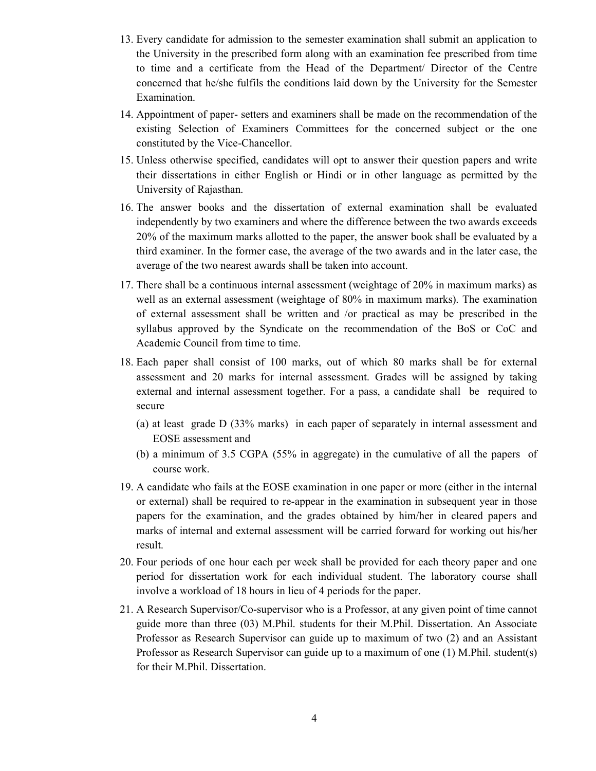- 13. Every candidate for admission to the semester examination shall submit an application to the University in the prescribed form along with an examination fee prescribed from time to time and a certificate from the Head of the Department/ Director of the Centre concerned that he/she fulfils the conditions laid down by the University for the Semester Examination.
- 14. Appointment of paper- setters and examiners shall be made on the recommendation of the existing Selection of Examiners Committees for the concerned subject or the one constituted by the Vice-Chancellor.
- 15. Unless otherwise specified, candidates will opt to answer their question papers and write their dissertations in either English or Hindi or in other language as permitted by the University of Rajasthan.
- 16. The answer books and the dissertation of external examination shall be evaluated independently by two examiners and where the difference between the two awards exceeds 20% of the maximum marks allotted to the paper, the answer book shall be evaluated by a third examiner. In the former case, the average of the two awards and in the later case, the average of the two nearest awards shall be taken into account.
- 17. There shall be a continuous internal assessment (weightage of 20% in maximum marks) as well as an external assessment (weightage of 80% in maximum marks). The examination of external assessment shall be written and /or practical as may be prescribed in the syllabus approved by the Syndicate on the recommendation of the BoS or CoC and Academic Council from time to time.
- 18. Each paper shall consist of 100 marks, out of which 80 marks shall be for external assessment and 20 marks for internal assessment. Grades will be assigned by taking external and internal assessment together. For a pass, a candidate shall be required to secure
	- (a) at least grade D (33% marks) in each paper of separately in internal assessment and EOSE assessment and
	- (b) a minimum of 3.5 CGPA (55% in aggregate) in the cumulative of all the papers of course work.
- 19. A candidate who fails at the EOSE examination in one paper or more (either in the internal or external) shall be required to re-appear in the examination in subsequent year in those papers for the examination, and the grades obtained by him/her in cleared papers and marks of internal and external assessment will be carried forward for working out his/her result.
- 20. Four periods of one hour each per week shall be provided for each theory paper and one period for dissertation work for each individual student. The laboratory course shall involve a workload of 18 hours in lieu of 4 periods for the paper.
- 21. A Research Supervisor/Co-supervisor who is a Professor, at any given point of time cannot guide more than three (03) M.Phil. students for their M.Phil. Dissertation. An Associate Professor as Research Supervisor can guide up to maximum of two (2) and an Assistant Professor as Research Supervisor can guide up to a maximum of one (1) M.Phil. student(s) for their M.Phil. Dissertation.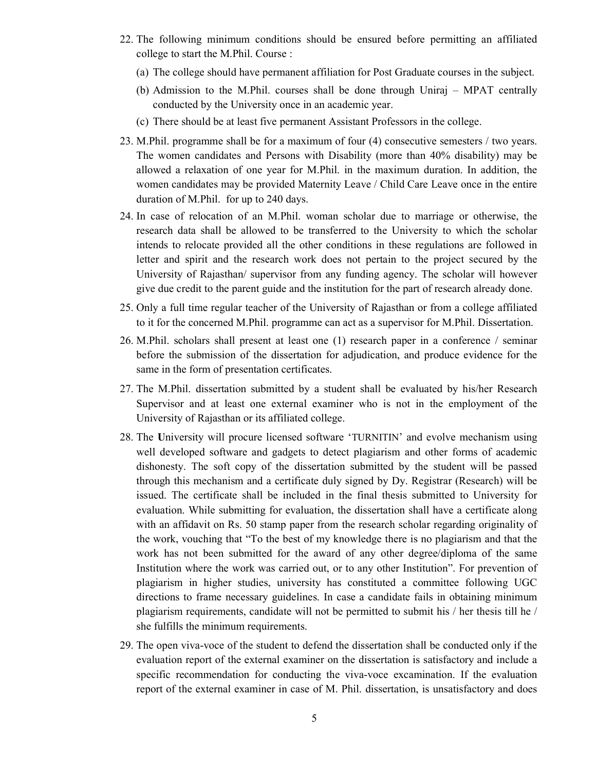- 22. The following minimum conditions should be ensured before permitting an affiliated college to start the M.Phil. Course :
	- (a) The college should have permanent affiliation for Post Graduate courses in the subject.
	- (b) Admission to the M.Phil. courses shall be done through Uniraj MPAT centrally conducted by the University once in an academic year.
	- (c) There should be at least five permanent Assistant Professors in the college.
- 23. M.Phil. programme shall be for a maximum of four (4) consecutive semesters / two years. The women candidates and Persons with Disability (more than 40% disability) may be allowed a relaxation of one year for M.Phil. in the maximum duration. In addition, the women candidates may be provided Maternity Leave / Child Care Leave once in the entire duration of M.Phil. for up to 240 days.
- 24. In case of relocation of an M.Phil. woman scholar due to marriage or otherwise, the research data shall be allowed to be transferred to the University to which the scholar intends to relocate provided all the other conditions in these regulations are followed in letter and spirit and the research work does not pertain to the project secured by the University of Rajasthan/ supervisor from any funding agency. The scholar will however give due credit to the parent guide and the institution for the part of research already done.
- 25. Only a full time regular teacher of the University of Rajasthan or from a college affiliated to it for the concerned M.Phil. programme can act as a supervisor for M.Phil. Dissertation.
- 26. M.Phil. scholars shall present at least one (1) research paper in a conference / seminar before the submission of the dissertation for adjudication, and produce evidence for the same in the form of presentation certificates.
- 27. The M.Phil. dissertation submitted by a student shall be evaluated by his/her Research Supervisor and at least one external examiner who is not in the employment of the University of Rajasthan or its affiliated college.
- 28. The University will procure licensed software 'TURNITIN' and evolve mechanism using well developed software and gadgets to detect plagiarism and other forms of academic dishonesty. The soft copy of the dissertation submitted by the student will be passed through this mechanism and a certificate duly signed by Dy. Registrar (Research) will be issued. The certificate shall be included in the final thesis submitted to University for evaluation. While submitting for evaluation, the dissertation shall have a certificate along with an affidavit on Rs. 50 stamp paper from the research scholar regarding originality of the work, vouching that "To the best of my knowledge there is no plagiarism and that the work has not been submitted for the award of any other degree/diploma of the same Institution where the work was carried out, or to any other Institution". For prevention of plagiarism in higher studies, university has constituted a committee following UGC directions to frame necessary guidelines. In case a candidate fails in obtaining minimum plagiarism requirements, candidate will not be permitted to submit his / her thesis till he / she fulfills the minimum requirements.
- 29. The open viva-voce of the student to defend the dissertation shall be conducted only if the evaluation report of the external examiner on the dissertation is satisfactory and include a specific recommendation for conducting the viva-voce excamination. If the evaluation report of the external examiner in case of M. Phil. dissertation, is unsatisfactory and does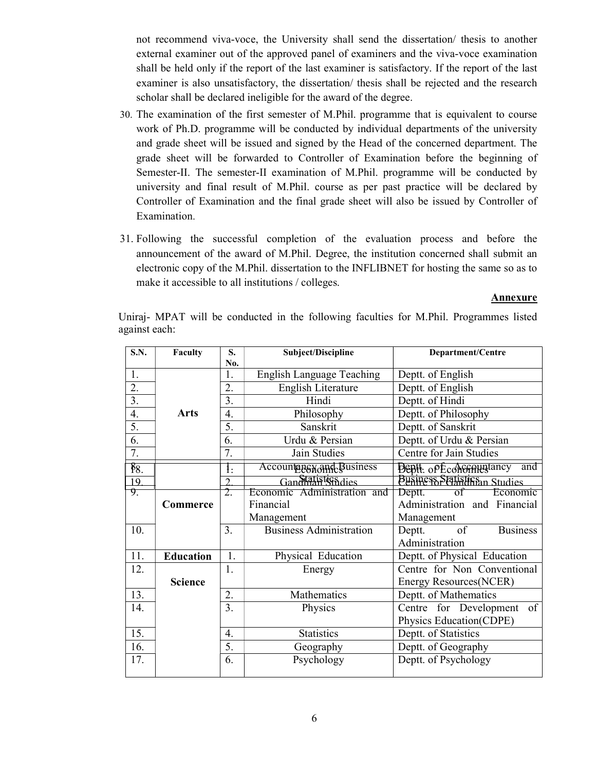not recommend viva-voce, the University shall send the dissertation/ thesis to another external examiner out of the approved panel of examiners and the viva-voce examination shall be held only if the report of the last examiner is satisfactory. If the report of the last examiner is also unsatisfactory, the dissertation/ thesis shall be rejected and the research scholar shall be declared ineligible for the award of the degree.

- 30. The examination of the first semester of M.Phil. programme that is equivalent to course work of Ph.D. programme will be conducted by individual departments of the university and grade sheet will be issued and signed by the Head of the concerned department. The grade sheet will be forwarded to Controller of Examination before the beginning of Semester-II. The semester-II examination of M.Phil. programme will be conducted by university and final result of M.Phil. course as per past practice will be declared by Controller of Examination and the final grade sheet will also be issued by Controller of Examination.
- 31. Following the successful completion of the evaluation process and before the announcement of the award of M.Phil. Degree, the institution concerned shall submit an electronic copy of the M.Phil. dissertation to the INFLIBNET for hosting the same so as to make it accessible to all institutions / colleges.

#### Annexure

Uniraj- MPAT will be conducted in the following faculties for M.Phil. Programmes listed against each:

| S.N.             | Faculty          | S.               | Subject/Discipline               | Department/Centre                |
|------------------|------------------|------------------|----------------------------------|----------------------------------|
|                  |                  | No.              |                                  |                                  |
| 1.               |                  | 1.               | <b>English Language Teaching</b> | Deptt. of English                |
| 2.               |                  | 2.               | English Literature               | Deptt. of English                |
| 3.               |                  | 3.               | Hindi                            | Deptt. of Hindi                  |
| 4.               | <b>Arts</b>      | 4.               | Philosophy                       | Deptt. of Philosophy             |
| 5.               |                  | 5.               | Sanskrit                         | Deptt. of Sanskrit               |
| 6.               |                  | 6.               | Urdu & Persian                   | Deptt. of Urdu & Persian         |
| 7.               |                  | 7.               | Jain Studies                     | Centre for Jain Studies          |
| $\frac{8}{8}$ .  |                  | $\mathbf{1}$ :   | Accountage and Business          | and<br><b>Deptt.</b> opEconomium |
| 19               |                  | າ                | Gandhialistics dies              | Business Statistics and Studies  |
| $\overline{9}$ . |                  | $\overline{2}$   | Economic Administration and      | Deptt.<br>Economic<br>of         |
|                  | Commerce         |                  | Financial                        | Administration and Financial     |
|                  |                  |                  | Management                       | Management                       |
| 10.              |                  | 3.               | <b>Business Administration</b>   | of<br><b>Business</b><br>Deptt.  |
|                  |                  |                  |                                  | Administration                   |
| 11.              | <b>Education</b> | 1.               | Physical Education               | Deptt. of Physical Education     |
| 12.              |                  | 1.               | Energy                           | Centre for Non Conventional      |
|                  | <b>Science</b>   |                  |                                  | Energy Resources(NCER)           |
| 13.              |                  | 2.               | Mathematics                      | Deptt. of Mathematics            |
| 14.              |                  | 3.               | Physics                          | Centre for Development of        |
|                  |                  |                  |                                  | Physics Education(CDPE)          |
| 15.              |                  | 4.               | <b>Statistics</b>                | Deptt. of Statistics             |
| 16.              |                  | $\overline{5}$ . | Geography                        | Deptt. of Geography              |
| 17.              |                  | 6.               | Psychology                       | Deptt. of Psychology             |
|                  |                  |                  |                                  |                                  |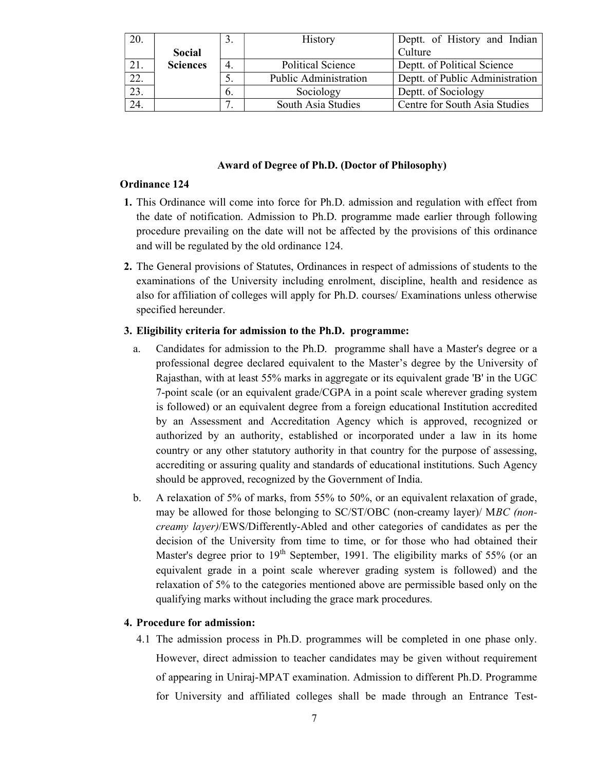| 20. |                 |    | History                      | Deptt. of History and Indian    |
|-----|-----------------|----|------------------------------|---------------------------------|
|     | Social          |    |                              | Culture                         |
| 21. | <b>Sciences</b> |    | <b>Political Science</b>     | Deptt. of Political Science     |
|     |                 |    | <b>Public Administration</b> | Deptt. of Public Administration |
| 23. |                 | b. | Sociology                    | Deptt. of Sociology             |
|     |                 |    | South Asia Studies           | Centre for South Asia Studies   |

#### Award of Degree of Ph.D. (Doctor of Philosophy)

#### Ordinance 124

- 1. This Ordinance will come into force for Ph.D. admission and regulation with effect from the date of notification. Admission to Ph.D. programme made earlier through following procedure prevailing on the date will not be affected by the provisions of this ordinance and will be regulated by the old ordinance 124.
- 2. The General provisions of Statutes, Ordinances in respect of admissions of students to the examinations of the University including enrolment, discipline, health and residence as also for affiliation of colleges will apply for Ph.D. courses/ Examinations unless otherwise specified hereunder.

#### 3. Eligibility criteria for admission to the Ph.D. programme:

- a. Candidates for admission to the Ph.D. programme shall have a Master's degree or a professional degree declared equivalent to the Master's degree by the University of Rajasthan, with at least 55% marks in aggregate or its equivalent grade 'B' in the UGC 7-point scale (or an equivalent grade/CGPA in a point scale wherever grading system is followed) or an equivalent degree from a foreign educational Institution accredited by an Assessment and Accreditation Agency which is approved, recognized or authorized by an authority, established or incorporated under a law in its home country or any other statutory authority in that country for the purpose of assessing, accrediting or assuring quality and standards of educational institutions. Such Agency should be approved, recognized by the Government of India.
- b. A relaxation of 5% of marks, from 55% to 50%, or an equivalent relaxation of grade, may be allowed for those belonging to SC/ST/OBC (non-creamy layer)/ MBC (noncreamy layer)/EWS/Differently-Abled and other categories of candidates as per the decision of the University from time to time, or for those who had obtained their Master's degree prior to  $19<sup>th</sup>$  September, 1991. The eligibility marks of 55% (or an equivalent grade in a point scale wherever grading system is followed) and the relaxation of 5% to the categories mentioned above are permissible based only on the qualifying marks without including the grace mark procedures.

#### 4. Procedure for admission:

4.1 The admission process in Ph.D. programmes will be completed in one phase only. However, direct admission to teacher candidates may be given without requirement of appearing in Uniraj-MPAT examination. Admission to different Ph.D. Programme for University and affiliated colleges shall be made through an Entrance Test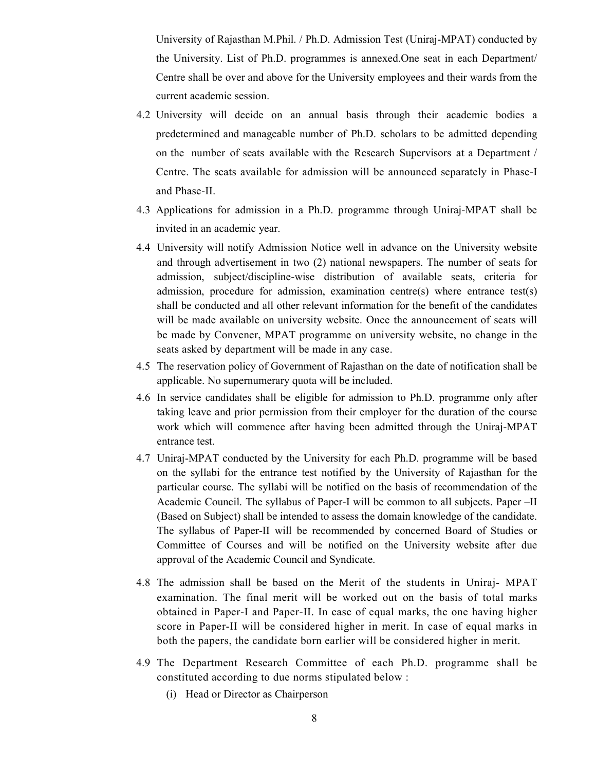University of Rajasthan M.Phil. / Ph.D. Admission Test (Uniraj-MPAT) conducted by the University. List of Ph.D. programmes is annexed.One seat in each Department/ Centre shall be over and above for the University employees and their wards from the current academic session.

- 4.2 University will decide on an annual basis through their academic bodies a predetermined and manageable number of Ph.D. scholars to be admitted depending on the number of seats available with the Research Supervisors at a Department / Centre. The seats available for admission will be announced separately in Phase-I and Phase-II.
- 4.3 Applications for admission in a Ph.D. programme through Uniraj-MPAT shall be invited in an academic year.
- 4.4 University will notify Admission Notice well in advance on the University website and through advertisement in two (2) national newspapers. The number of seats for admission, subject/discipline-wise distribution of available seats, criteria for admission, procedure for admission, examination centre(s) where entrance test(s) shall be conducted and all other relevant information for the benefit of the candidates will be made available on university website. Once the announcement of seats will be made by Convener, MPAT programme on university website, no change in the seats asked by department will be made in any case.
- 4.5 The reservation policy of Government of Rajasthan on the date of notification shall be applicable. No supernumerary quota will be included.
- 4.6 In service candidates shall be eligible for admission to Ph.D. programme only after taking leave and prior permission from their employer for the duration of the course work which will commence after having been admitted through the Uniraj-MPAT entrance test.
- 4.7 Uniraj-MPAT conducted by the University for each Ph.D. programme will be based on the syllabi for the entrance test notified by the University of Rajasthan for the particular course. The syllabi will be notified on the basis of recommendation of the Academic Council. The syllabus of Paper-I will be common to all subjects. Paper –II (Based on Subject) shall be intended to assess the domain knowledge of the candidate. The syllabus of Paper-II will be recommended by concerned Board of Studies or Committee of Courses and will be notified on the University website after due approval of the Academic Council and Syndicate.
- 4.8 The admission shall be based on the Merit of the students in Uniraj- MPAT examination. The final merit will be worked out on the basis of total marks obtained in Paper-I and Paper-II. In case of equal marks, the one having higher score in Paper-II will be considered higher in merit. In case of equal marks in both the papers, the candidate born earlier will be considered higher in merit.
- 4.9 The Department Research Committee of each Ph.D. programme shall be constituted according to due norms stipulated below :
	- (i) Head or Director as Chairperson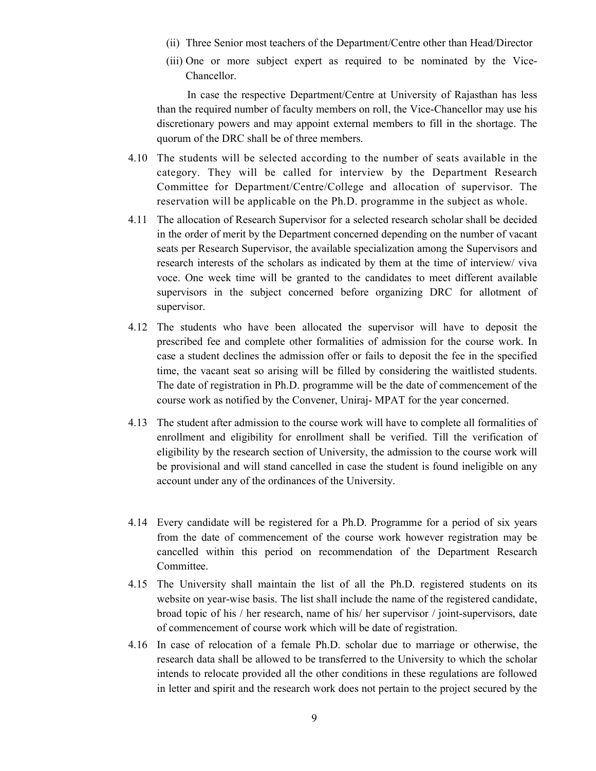- (ii) Three Senior most teachers of the Department/Centre other than Head/Director
- (iii) One or more subject expert as required to be nominated by the Vice-Chancellor.

 In case the respective Department/Centre at University of Rajasthan has less than the required number of faculty members on roll, the Vice-Chancellor may use his discretionary powers and may appoint external members to fill in the shortage. The quorum of the DRC shall be of three members.

- 4.10 The students will be selected according to the number of seats available in the category. They will be called for interview by the Department Research Committee for Department/Centre/College and allocation of supervisor. The reservation will be applicable on the Ph.D. programme in the subject as whole.
- 4.11 The allocation of Research Supervisor for a selected research scholar shall be decided in the order of merit by the Department concerned depending on the number of vacant seats per Research Supervisor, the available specialization among the Supervisors and research interests of the scholars as indicated by them at the time of interview/ viva voce. One week time will be granted to the candidates to meet different available supervisors in the subject concerned before organizing DRC for allotment of supervisor.
- 4.12 The students who have been allocated the supervisor will have to deposit the prescribed fee and complete other formalities of admission for the course work. In case a student declines the admission offer or fails to deposit the fee in the specified time, the vacant seat so arising will be filled by considering the waitlisted students. The date of registration in Ph.D. programme will be the date of commencement of the course work as notified by the Convener, Uniraj- MPAT for the year concerned.
- 4.13 The student after admission to the course work will have to complete all formalities of enrollment and eligibility for enrollment shall be verified. Till the verification of eligibility by the research section of University, the admission to the course work will be provisional and will stand cancelled in case the student is found ineligible on any account under any of the ordinances of the University.
- 4.14 Every candidate will be registered for a Ph.D. Programme for a period of six years from the date of commencement of the course work however registration may be cancelled within this period on recommendation of the Department Research Committee.
- 4.15 The University shall maintain the list of all the Ph.D. registered students on its website on year-wise basis. The list shall include the name of the registered candidate, broad topic of his / her research, name of his/ her supervisor / joint-supervisors, date of commencement of course work which will be date of registration.
- 4.16 In case of relocation of a female Ph.D. scholar due to marriage or otherwise, the research data shall be allowed to be transferred to the University to which the scholar intends to relocate provided all the other conditions in these regulations are followed in letter and spirit and the research work does not pertain to the project secured by the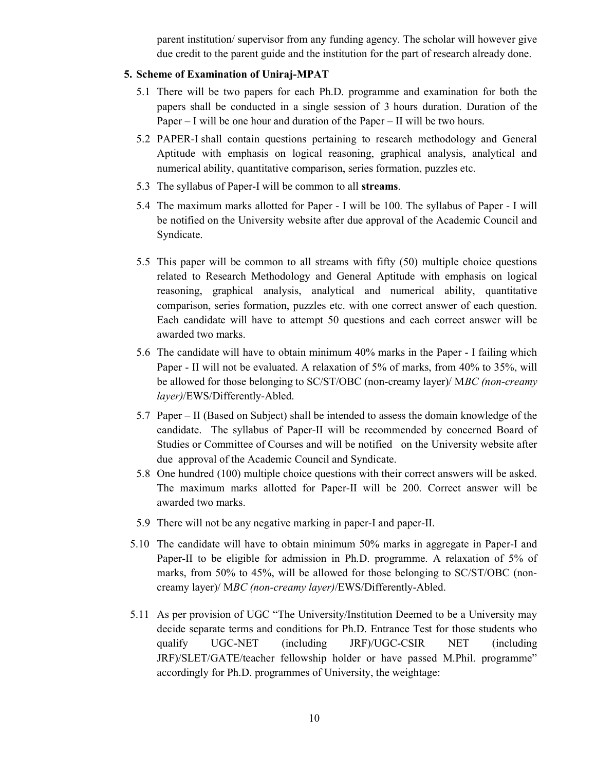parent institution/ supervisor from any funding agency. The scholar will however give due credit to the parent guide and the institution for the part of research already done.

#### 5. Scheme of Examination of Uniraj-MPAT

- 5.1 There will be two papers for each Ph.D. programme and examination for both the papers shall be conducted in a single session of 3 hours duration. Duration of the Paper – I will be one hour and duration of the Paper – II will be two hours.
- 5.2 PAPER-I shall contain questions pertaining to research methodology and General Aptitude with emphasis on logical reasoning, graphical analysis, analytical and numerical ability, quantitative comparison, series formation, puzzles etc.
- 5.3 The syllabus of Paper-I will be common to all streams.
- 5.4 The maximum marks allotted for Paper I will be 100. The syllabus of Paper I will be notified on the University website after due approval of the Academic Council and Syndicate.
- 5.5 This paper will be common to all streams with fifty (50) multiple choice questions related to Research Methodology and General Aptitude with emphasis on logical reasoning, graphical analysis, analytical and numerical ability, quantitative comparison, series formation, puzzles etc. with one correct answer of each question. Each candidate will have to attempt 50 questions and each correct answer will be awarded two marks.
- 5.6 The candidate will have to obtain minimum 40% marks in the Paper I failing which Paper - II will not be evaluated. A relaxation of 5% of marks, from 40% to 35%, will be allowed for those belonging to SC/ST/OBC (non-creamy layer)/ MBC (non-creamy layer)/EWS/Differently-Abled.
- 5.7 Paper II (Based on Subject) shall be intended to assess the domain knowledge of the candidate. The syllabus of Paper-II will be recommended by concerned Board of Studies or Committee of Courses and will be notified on the University website after due approval of the Academic Council and Syndicate.
- 5.8 One hundred (100) multiple choice questions with their correct answers will be asked. The maximum marks allotted for Paper-II will be 200. Correct answer will be awarded two marks.
- 5.9 There will not be any negative marking in paper-I and paper-II.
- 5.10 The candidate will have to obtain minimum 50% marks in aggregate in Paper-I and Paper-II to be eligible for admission in Ph.D. programme. A relaxation of 5% of marks, from 50% to 45%, will be allowed for those belonging to SC/ST/OBC (noncreamy layer)/ MBC (non-creamy layer)/EWS/Differently-Abled.
- 5.11 As per provision of UGC "The University/Institution Deemed to be a University may decide separate terms and conditions for Ph.D. Entrance Test for those students who qualify UGC-NET (including JRF)/UGC-CSIR NET (including JRF)/SLET/GATE/teacher fellowship holder or have passed M.Phil. programme" accordingly for Ph.D. programmes of University, the weightage: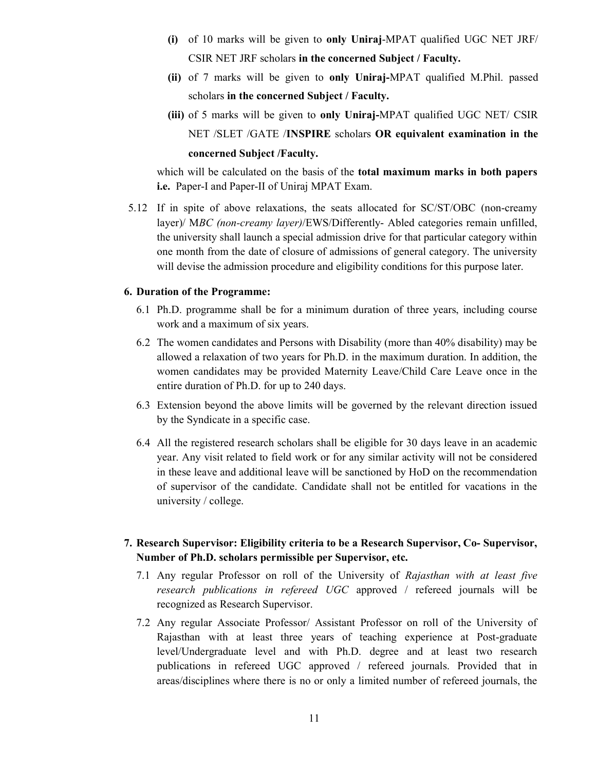- (i) of 10 marks will be given to only Uniraj-MPAT qualified UGC NET JRF/ CSIR NET JRF scholars in the concerned Subject / Faculty.
- (ii) of 7 marks will be given to only Uniraj-MPAT qualified M.Phil. passed scholars in the concerned Subject / Faculty.
- (iii) of 5 marks will be given to only Uniraj-MPAT qualified UGC NET/ CSIR NET /SLET /GATE /INSPIRE scholars OR equivalent examination in the concerned Subject /Faculty.

which will be calculated on the basis of the total maximum marks in both papers i.e. Paper-I and Paper-II of Uniraj MPAT Exam.

5.12 If in spite of above relaxations, the seats allocated for SC/ST/OBC (non-creamy layer)/ MBC (non-creamy layer)/EWS/Differently- Abled categories remain unfilled, the university shall launch a special admission drive for that particular category within one month from the date of closure of admissions of general category. The university will devise the admission procedure and eligibility conditions for this purpose later.

#### 6. Duration of the Programme:

- 6.1 Ph.D. programme shall be for a minimum duration of three years, including course work and a maximum of six years.
- 6.2 The women candidates and Persons with Disability (more than 40% disability) may be allowed a relaxation of two years for Ph.D. in the maximum duration. In addition, the women candidates may be provided Maternity Leave/Child Care Leave once in the entire duration of Ph.D. for up to 240 days.
- 6.3 Extension beyond the above limits will be governed by the relevant direction issued by the Syndicate in a specific case.
- 6.4 All the registered research scholars shall be eligible for 30 days leave in an academic year. Any visit related to field work or for any similar activity will not be considered in these leave and additional leave will be sanctioned by HoD on the recommendation of supervisor of the candidate. Candidate shall not be entitled for vacations in the university / college.
- 7. Research Supervisor: Eligibility criteria to be a Research Supervisor, Co- Supervisor, Number of Ph.D. scholars permissible per Supervisor, etc.
	- 7.1 Any regular Professor on roll of the University of Rajasthan with at least five research publications in refereed UGC approved / refereed journals will be recognized as Research Supervisor.
	- 7.2 Any regular Associate Professor/ Assistant Professor on roll of the University of Rajasthan with at least three years of teaching experience at Post-graduate level/Undergraduate level and with Ph.D. degree and at least two research publications in refereed UGC approved / refereed journals. Provided that in areas/disciplines where there is no or only a limited number of refereed journals, the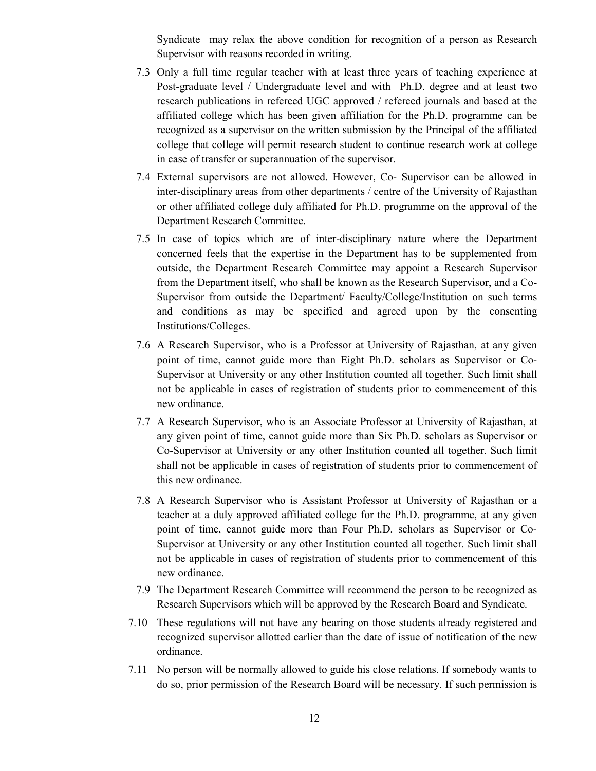Syndicate may relax the above condition for recognition of a person as Research Supervisor with reasons recorded in writing.

- 7.3 Only a full time regular teacher with at least three years of teaching experience at Post-graduate level / Undergraduate level and with Ph.D. degree and at least two research publications in refereed UGC approved / refereed journals and based at the affiliated college which has been given affiliation for the Ph.D. programme can be recognized as a supervisor on the written submission by the Principal of the affiliated college that college will permit research student to continue research work at college in case of transfer or superannuation of the supervisor.
- 7.4 External supervisors are not allowed. However, Co- Supervisor can be allowed in inter-disciplinary areas from other departments / centre of the University of Rajasthan or other affiliated college duly affiliated for Ph.D. programme on the approval of the Department Research Committee.
- 7.5 In case of topics which are of inter-disciplinary nature where the Department concerned feels that the expertise in the Department has to be supplemented from outside, the Department Research Committee may appoint a Research Supervisor from the Department itself, who shall be known as the Research Supervisor, and a Co-Supervisor from outside the Department/ Faculty/College/Institution on such terms and conditions as may be specified and agreed upon by the consenting Institutions/Colleges.
- 7.6 A Research Supervisor, who is a Professor at University of Rajasthan, at any given point of time, cannot guide more than Eight Ph.D. scholars as Supervisor or Co-Supervisor at University or any other Institution counted all together. Such limit shall not be applicable in cases of registration of students prior to commencement of this new ordinance.
- 7.7 A Research Supervisor, who is an Associate Professor at University of Rajasthan, at any given point of time, cannot guide more than Six Ph.D. scholars as Supervisor or Co-Supervisor at University or any other Institution counted all together. Such limit shall not be applicable in cases of registration of students prior to commencement of this new ordinance.
- 7.8 A Research Supervisor who is Assistant Professor at University of Rajasthan or a teacher at a duly approved affiliated college for the Ph.D. programme, at any given point of time, cannot guide more than Four Ph.D. scholars as Supervisor or Co-Supervisor at University or any other Institution counted all together. Such limit shall not be applicable in cases of registration of students prior to commencement of this new ordinance.
- 7.9 The Department Research Committee will recommend the person to be recognized as Research Supervisors which will be approved by the Research Board and Syndicate.
- 7.10 These regulations will not have any bearing on those students already registered and recognized supervisor allotted earlier than the date of issue of notification of the new ordinance.
- 7.11 No person will be normally allowed to guide his close relations. If somebody wants to do so, prior permission of the Research Board will be necessary. If such permission is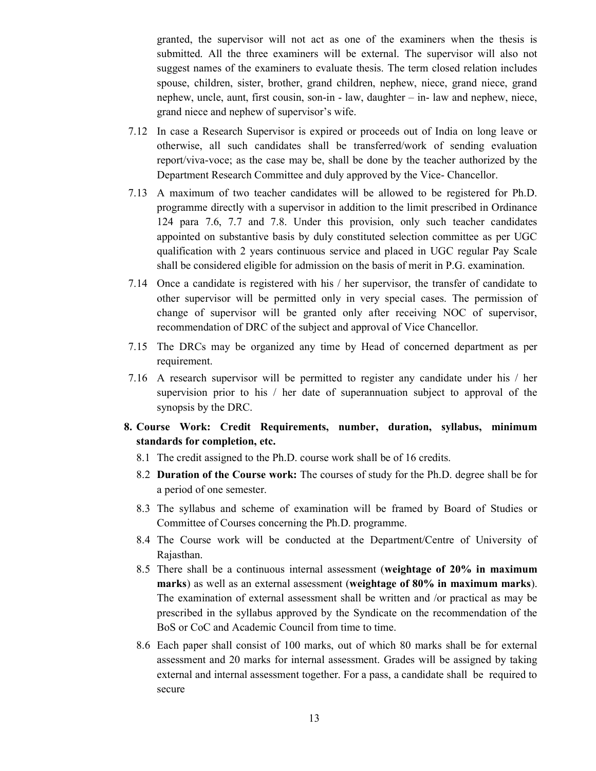granted, the supervisor will not act as one of the examiners when the thesis is submitted. All the three examiners will be external. The supervisor will also not suggest names of the examiners to evaluate thesis. The term closed relation includes spouse, children, sister, brother, grand children, nephew, niece, grand niece, grand nephew, uncle, aunt, first cousin, son-in - law, daughter – in- law and nephew, niece, grand niece and nephew of supervisor's wife.

- 7.12 In case a Research Supervisor is expired or proceeds out of India on long leave or otherwise, all such candidates shall be transferred/work of sending evaluation report/viva-voce; as the case may be, shall be done by the teacher authorized by the Department Research Committee and duly approved by the Vice- Chancellor.
- 7.13 A maximum of two teacher candidates will be allowed to be registered for Ph.D. programme directly with a supervisor in addition to the limit prescribed in Ordinance 124 para 7.6, 7.7 and 7.8. Under this provision, only such teacher candidates appointed on substantive basis by duly constituted selection committee as per UGC qualification with 2 years continuous service and placed in UGC regular Pay Scale shall be considered eligible for admission on the basis of merit in P.G. examination.
- 7.14 Once a candidate is registered with his / her supervisor, the transfer of candidate to other supervisor will be permitted only in very special cases. The permission of change of supervisor will be granted only after receiving NOC of supervisor, recommendation of DRC of the subject and approval of Vice Chancellor.
- 7.15 The DRCs may be organized any time by Head of concerned department as per requirement.
- 7.16 A research supervisor will be permitted to register any candidate under his / her supervision prior to his / her date of superannuation subject to approval of the synopsis by the DRC.
- 8. Course Work: Credit Requirements, number, duration, syllabus, minimum standards for completion, etc.
	- 8.1 The credit assigned to the Ph.D. course work shall be of 16 credits.
	- 8.2 Duration of the Course work: The courses of study for the Ph.D. degree shall be for a period of one semester.
	- 8.3 The syllabus and scheme of examination will be framed by Board of Studies or Committee of Courses concerning the Ph.D. programme.
	- 8.4 The Course work will be conducted at the Department/Centre of University of Rajasthan.
	- 8.5 There shall be a continuous internal assessment (weightage of 20% in maximum marks) as well as an external assessment (weightage of 80% in maximum marks). The examination of external assessment shall be written and /or practical as may be prescribed in the syllabus approved by the Syndicate on the recommendation of the BoS or CoC and Academic Council from time to time.
	- 8.6 Each paper shall consist of 100 marks, out of which 80 marks shall be for external assessment and 20 marks for internal assessment. Grades will be assigned by taking external and internal assessment together. For a pass, a candidate shall be required to secure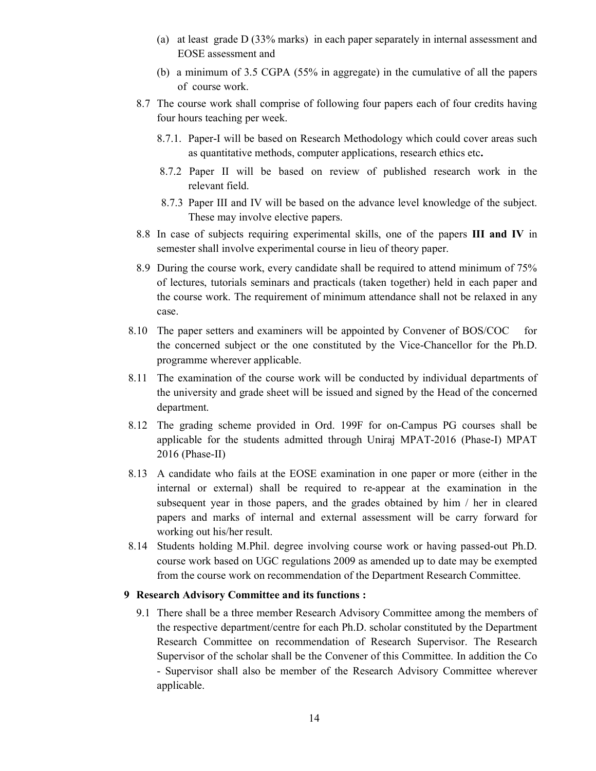- (a) at least grade D (33% marks) in each paper separately in internal assessment and EOSE assessment and
- (b) a minimum of 3.5 CGPA (55% in aggregate) in the cumulative of all the papers of course work.
- 8.7 The course work shall comprise of following four papers each of four credits having four hours teaching per week.
	- 8.7.1. Paper-I will be based on Research Methodology which could cover areas such as quantitative methods, computer applications, research ethics etc.
	- 8.7.2 Paper II will be based on review of published research work in the relevant field.
	- 8.7.3 Paper III and IV will be based on the advance level knowledge of the subject. These may involve elective papers.
- 8.8 In case of subjects requiring experimental skills, one of the papers III and IV in semester shall involve experimental course in lieu of theory paper.
- 8.9 During the course work, every candidate shall be required to attend minimum of 75% of lectures, tutorials seminars and practicals (taken together) held in each paper and the course work. The requirement of minimum attendance shall not be relaxed in any case.
- 8.10 The paper setters and examiners will be appointed by Convener of BOS/COC for the concerned subject or the one constituted by the Vice-Chancellor for the Ph.D. programme wherever applicable.
- 8.11 The examination of the course work will be conducted by individual departments of the university and grade sheet will be issued and signed by the Head of the concerned department.
- 8.12 The grading scheme provided in Ord. 199F for on-Campus PG courses shall be applicable for the students admitted through Uniraj MPAT-2016 (Phase-I) MPAT 2016 (Phase-II)
- 8.13 A candidate who fails at the EOSE examination in one paper or more (either in the internal or external) shall be required to re-appear at the examination in the subsequent year in those papers, and the grades obtained by him / her in cleared papers and marks of internal and external assessment will be carry forward for working out his/her result.
- 8.14 Students holding M.Phil. degree involving course work or having passed-out Ph.D. course work based on UGC regulations 2009 as amended up to date may be exempted from the course work on recommendation of the Department Research Committee.

#### 9 Research Advisory Committee and its functions :

9.1 There shall be a three member Research Advisory Committee among the members of the respective department/centre for each Ph.D. scholar constituted by the Department Research Committee on recommendation of Research Supervisor. The Research Supervisor of the scholar shall be the Convener of this Committee. In addition the Co - Supervisor shall also be member of the Research Advisory Committee wherever applicable.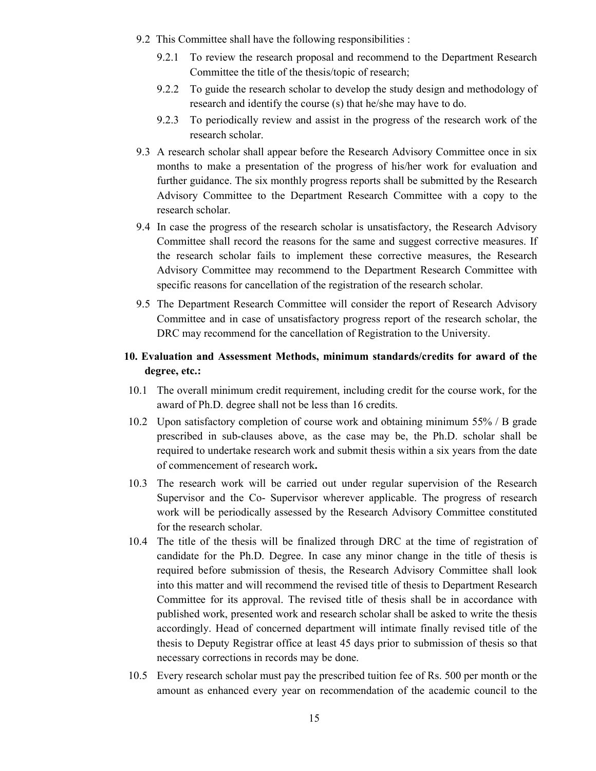- 9.2 This Committee shall have the following responsibilities :
	- 9.2.1 To review the research proposal and recommend to the Department Research Committee the title of the thesis/topic of research;
	- 9.2.2 To guide the research scholar to develop the study design and methodology of research and identify the course (s) that he/she may have to do.
	- 9.2.3 To periodically review and assist in the progress of the research work of the research scholar.
- 9.3 A research scholar shall appear before the Research Advisory Committee once in six months to make a presentation of the progress of his/her work for evaluation and further guidance. The six monthly progress reports shall be submitted by the Research Advisory Committee to the Department Research Committee with a copy to the research scholar.
- 9.4 In case the progress of the research scholar is unsatisfactory, the Research Advisory Committee shall record the reasons for the same and suggest corrective measures. If the research scholar fails to implement these corrective measures, the Research Advisory Committee may recommend to the Department Research Committee with specific reasons for cancellation of the registration of the research scholar.
- 9.5 The Department Research Committee will consider the report of Research Advisory Committee and in case of unsatisfactory progress report of the research scholar, the DRC may recommend for the cancellation of Registration to the University.

# 10. Evaluation and Assessment Methods, minimum standards/credits for award of the degree, etc.:

- 10.1 The overall minimum credit requirement, including credit for the course work, for the award of Ph.D. degree shall not be less than 16 credits.
- 10.2 Upon satisfactory completion of course work and obtaining minimum 55% / B grade prescribed in sub-clauses above, as the case may be, the Ph.D. scholar shall be required to undertake research work and submit thesis within a six years from the date of commencement of research work.
- 10.3 The research work will be carried out under regular supervision of the Research Supervisor and the Co- Supervisor wherever applicable. The progress of research work will be periodically assessed by the Research Advisory Committee constituted for the research scholar.
- 10.4 The title of the thesis will be finalized through DRC at the time of registration of candidate for the Ph.D. Degree. In case any minor change in the title of thesis is required before submission of thesis, the Research Advisory Committee shall look into this matter and will recommend the revised title of thesis to Department Research Committee for its approval. The revised title of thesis shall be in accordance with published work, presented work and research scholar shall be asked to write the thesis accordingly. Head of concerned department will intimate finally revised title of the thesis to Deputy Registrar office at least 45 days prior to submission of thesis so that necessary corrections in records may be done.
- 10.5 Every research scholar must pay the prescribed tuition fee of Rs. 500 per month or the amount as enhanced every year on recommendation of the academic council to the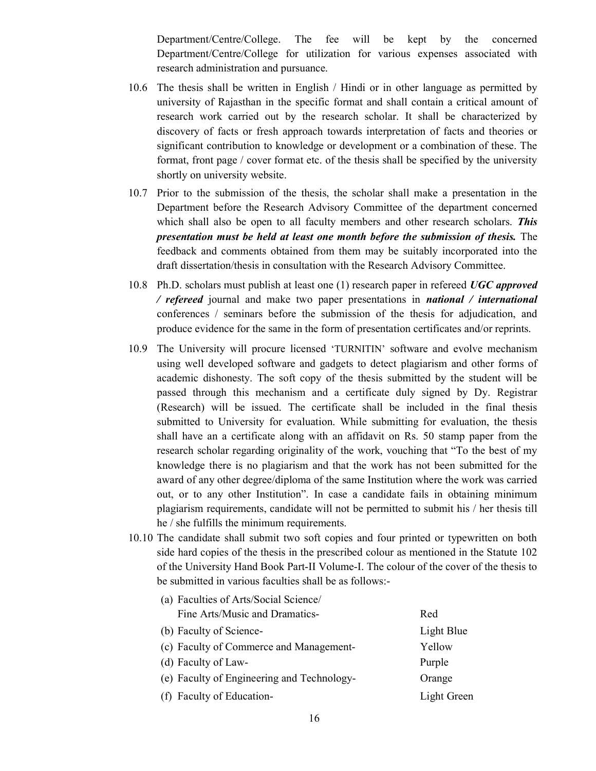Department/Centre/College. The fee will be kept by the concerned Department/Centre/College for utilization for various expenses associated with research administration and pursuance.

- 10.6 The thesis shall be written in English / Hindi or in other language as permitted by university of Rajasthan in the specific format and shall contain a critical amount of research work carried out by the research scholar. It shall be characterized by discovery of facts or fresh approach towards interpretation of facts and theories or significant contribution to knowledge or development or a combination of these. The format, front page / cover format etc. of the thesis shall be specified by the university shortly on university website.
- 10.7 Prior to the submission of the thesis, the scholar shall make a presentation in the Department before the Research Advisory Committee of the department concerned which shall also be open to all faculty members and other research scholars. **This** presentation must be held at least one month before the submission of thesis. The feedback and comments obtained from them may be suitably incorporated into the draft dissertation/thesis in consultation with the Research Advisory Committee.
- 10.8 Ph.D. scholars must publish at least one (1) research paper in refereed UGC approved / refereed journal and make two paper presentations in national / international conferences / seminars before the submission of the thesis for adjudication, and produce evidence for the same in the form of presentation certificates and/or reprints.
- 10.9 The University will procure licensed 'TURNITIN' software and evolve mechanism using well developed software and gadgets to detect plagiarism and other forms of academic dishonesty. The soft copy of the thesis submitted by the student will be passed through this mechanism and a certificate duly signed by Dy. Registrar (Research) will be issued. The certificate shall be included in the final thesis submitted to University for evaluation. While submitting for evaluation, the thesis shall have an a certificate along with an affidavit on Rs. 50 stamp paper from the research scholar regarding originality of the work, vouching that "To the best of my knowledge there is no plagiarism and that the work has not been submitted for the award of any other degree/diploma of the same Institution where the work was carried out, or to any other Institution". In case a candidate fails in obtaining minimum plagiarism requirements, candidate will not be permitted to submit his / her thesis till he / she fulfills the minimum requirements.
- 10.10 The candidate shall submit two soft copies and four printed or typewritten on both side hard copies of the thesis in the prescribed colour as mentioned in the Statute 102 of the University Hand Book Part-II Volume-I. The colour of the cover of the thesis to be submitted in various faculties shall be as follows:-

| (a) Faculties of Arts/Social Science/      |             |
|--------------------------------------------|-------------|
| Fine Arts/Music and Dramatics-             | Red         |
| (b) Faculty of Science-                    | Light Blue  |
| (c) Faculty of Commerce and Management-    | Yellow      |
| (d) Faculty of Law-                        | Purple      |
| (e) Faculty of Engineering and Technology- | Orange      |
| (f) Faculty of Education-                  | Light Green |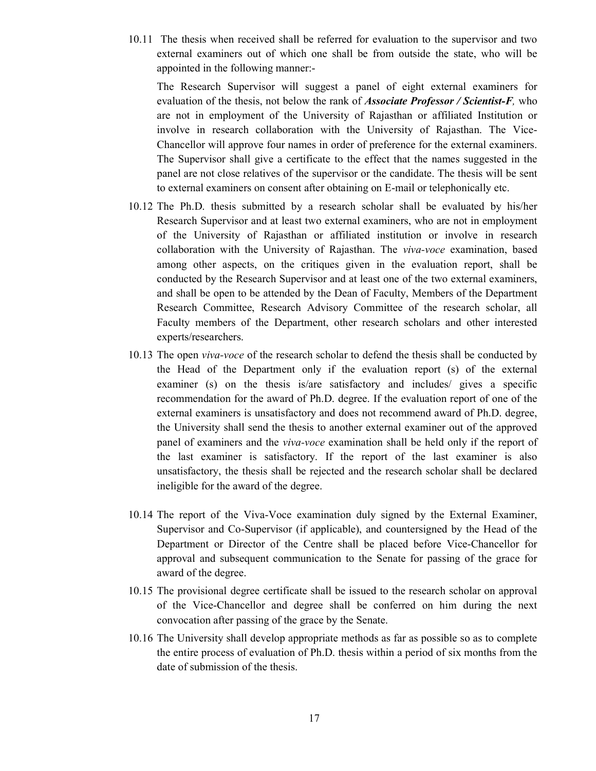10.11 The thesis when received shall be referred for evaluation to the supervisor and two external examiners out of which one shall be from outside the state, who will be appointed in the following manner:-

 The Research Supervisor will suggest a panel of eight external examiners for evaluation of the thesis, not below the rank of **Associate Professor** / Scientist-F, who are not in employment of the University of Rajasthan or affiliated Institution or involve in research collaboration with the University of Rajasthan. The Vice-Chancellor will approve four names in order of preference for the external examiners. The Supervisor shall give a certificate to the effect that the names suggested in the panel are not close relatives of the supervisor or the candidate. The thesis will be sent to external examiners on consent after obtaining on E-mail or telephonically etc.

- 10.12 The Ph.D. thesis submitted by a research scholar shall be evaluated by his/her Research Supervisor and at least two external examiners, who are not in employment of the University of Rajasthan or affiliated institution or involve in research collaboration with the University of Rajasthan. The viva-voce examination, based among other aspects, on the critiques given in the evaluation report, shall be conducted by the Research Supervisor and at least one of the two external examiners, and shall be open to be attended by the Dean of Faculty, Members of the Department Research Committee, Research Advisory Committee of the research scholar, all Faculty members of the Department, other research scholars and other interested experts/researchers.
- 10.13 The open viva-voce of the research scholar to defend the thesis shall be conducted by the Head of the Department only if the evaluation report (s) of the external examiner (s) on the thesis is/are satisfactory and includes/ gives a specific recommendation for the award of Ph.D. degree. If the evaluation report of one of the external examiners is unsatisfactory and does not recommend award of Ph.D. degree, the University shall send the thesis to another external examiner out of the approved panel of examiners and the viva-voce examination shall be held only if the report of the last examiner is satisfactory. If the report of the last examiner is also unsatisfactory, the thesis shall be rejected and the research scholar shall be declared ineligible for the award of the degree.
- 10.14 The report of the Viva-Voce examination duly signed by the External Examiner, Supervisor and Co-Supervisor (if applicable), and countersigned by the Head of the Department or Director of the Centre shall be placed before Vice-Chancellor for approval and subsequent communication to the Senate for passing of the grace for award of the degree.
- 10.15 The provisional degree certificate shall be issued to the research scholar on approval of the Vice-Chancellor and degree shall be conferred on him during the next convocation after passing of the grace by the Senate.
- 10.16 The University shall develop appropriate methods as far as possible so as to complete the entire process of evaluation of Ph.D. thesis within a period of six months from the date of submission of the thesis.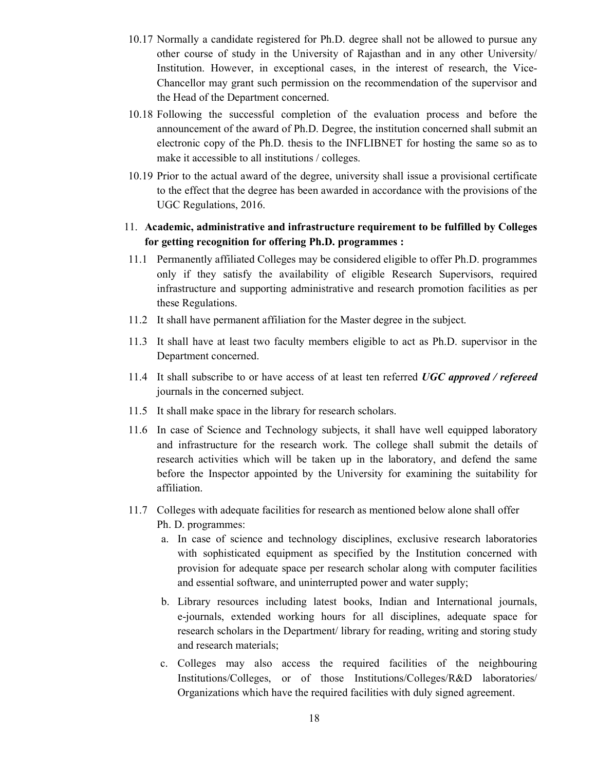- 10.17 Normally a candidate registered for Ph.D. degree shall not be allowed to pursue any other course of study in the University of Rajasthan and in any other University/ Institution. However, in exceptional cases, in the interest of research, the Vice-Chancellor may grant such permission on the recommendation of the supervisor and the Head of the Department concerned.
- 10.18 Following the successful completion of the evaluation process and before the announcement of the award of Ph.D. Degree, the institution concerned shall submit an electronic copy of the Ph.D. thesis to the INFLIBNET for hosting the same so as to make it accessible to all institutions / colleges.
- 10.19 Prior to the actual award of the degree, university shall issue a provisional certificate to the effect that the degree has been awarded in accordance with the provisions of the UGC Regulations, 2016.
- 11. Academic, administrative and infrastructure requirement to be fulfilled by Colleges for getting recognition for offering Ph.D. programmes :
- 11.1 Permanently affiliated Colleges may be considered eligible to offer Ph.D. programmes only if they satisfy the availability of eligible Research Supervisors, required infrastructure and supporting administrative and research promotion facilities as per these Regulations.
- 11.2 It shall have permanent affiliation for the Master degree in the subject.
- 11.3 It shall have at least two faculty members eligible to act as Ph.D. supervisor in the Department concerned.
- 11.4 It shall subscribe to or have access of at least ten referred UGC approved / refereed journals in the concerned subject.
- 11.5 It shall make space in the library for research scholars.
- 11.6 In case of Science and Technology subjects, it shall have well equipped laboratory and infrastructure for the research work. The college shall submit the details of research activities which will be taken up in the laboratory, and defend the same before the Inspector appointed by the University for examining the suitability for affiliation.
- 11.7 Colleges with adequate facilities for research as mentioned below alone shall offer Ph. D. programmes:
	- a. In case of science and technology disciplines, exclusive research laboratories with sophisticated equipment as specified by the Institution concerned with provision for adequate space per research scholar along with computer facilities and essential software, and uninterrupted power and water supply;
	- b. Library resources including latest books, Indian and International journals, e-journals, extended working hours for all disciplines, adequate space for research scholars in the Department/ library for reading, writing and storing study and research materials;
	- c. Colleges may also access the required facilities of the neighbouring Institutions/Colleges, or of those Institutions/Colleges/R&D laboratories/ Organizations which have the required facilities with duly signed agreement.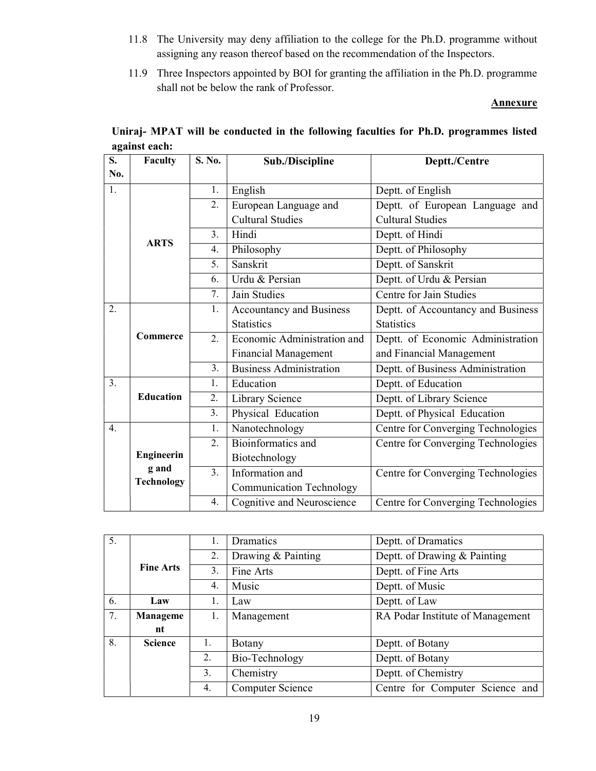- 11.8 The University may deny affiliation to the college for the Ph.D. programme without assigning any reason thereof based on the recommendation of the Inspectors.
- 11.9 Three Inspectors appointed by BOI for granting the affiliation in the Ph.D. programme shall not be below the rank of Professor.

#### **Annexure**

| S.               | Faculty           | S. No.        | Sub./Discipline                 | Deptt./Centre                      |
|------------------|-------------------|---------------|---------------------------------|------------------------------------|
| No.              |                   |               |                                 |                                    |
| 1.               |                   | 1.            | English                         | Deptt. of English                  |
|                  |                   | 2.            | European Language and           | Deptt. of European Language and    |
|                  |                   |               | <b>Cultural Studies</b>         | <b>Cultural Studies</b>            |
|                  | <b>ARTS</b>       | 3.            | Hindi                           | Deptt. of Hindi                    |
|                  |                   | 4.            | Philosophy                      | Deptt. of Philosophy               |
|                  |                   | 5.            | Sanskrit                        | Deptt. of Sanskrit                 |
|                  |                   | 6.            | Urdu & Persian                  | Deptt. of Urdu & Persian           |
|                  |                   | 7.            | Jain Studies                    | Centre for Jain Studies            |
| $\overline{2}$ . |                   |               | <b>Accountancy and Business</b> | Deptt. of Accountancy and Business |
|                  |                   |               | <b>Statistics</b>               | <b>Statistics</b>                  |
|                  | Commerce          | 2.            | Economic Administration and     | Deptt. of Economic Administration  |
|                  |                   |               | <b>Financial Management</b>     | and Financial Management           |
|                  |                   | 3.            | <b>Business Administration</b>  | Deptt. of Business Administration  |
| 3.               |                   | 1.            | Education                       | Deptt. of Education                |
|                  | <b>Education</b>  | 2.            | Library Science                 | Deptt. of Library Science          |
|                  |                   | 3.            | Physical Education              | Deptt. of Physical Education       |
| $\overline{4}$ . |                   | 1.            | Nanotechnology                  | Centre for Converging Technologies |
|                  |                   | 2.            | Bioinformatics and              | Centre for Converging Technologies |
|                  | Engineerin        |               | Biotechnology                   |                                    |
|                  | g and             | $\mathcal{E}$ | Information and                 | Centre for Converging Technologies |
|                  | <b>Technology</b> |               | <b>Communication Technology</b> |                                    |
|                  |                   | 4.            | Cognitive and Neuroscience      | Centre for Converging Technologies |

| Uniraj-MPAT will be conducted in the following faculties for Ph.D. programmes listed |  |
|--------------------------------------------------------------------------------------|--|
| against each:                                                                        |  |

| 5. |                  |       | Dramatics          | Deptt. of Dramatics              |
|----|------------------|-------|--------------------|----------------------------------|
|    |                  | 2.    | Drawing & Painting | Deptt. of Drawing & Painting     |
|    | <b>Fine Arts</b> | 3.    | Fine Arts          | Deptt. of Fine Arts              |
|    | 4.               | Music | Deptt. of Music    |                                  |
| 6. | Law              |       | Law                | Deptt. of Law                    |
| 7. | <b>Manageme</b>  | Ι.    | Management         | RA Podar Institute of Management |
|    | nt               |       |                    |                                  |
| 8. | <b>Science</b>   | 1.    | <b>Botany</b>      | Deptt. of Botany                 |
|    |                  | 2.    | Bio-Technology     | Deptt. of Botany                 |
|    |                  | 3.    | Chemistry          | Deptt. of Chemistry              |
|    |                  | 4.    | Computer Science   | Centre for Computer Science and  |